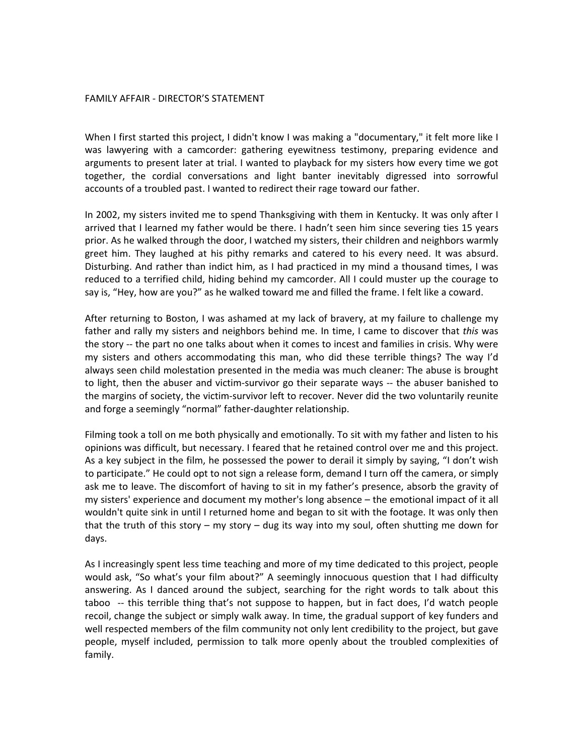## FAMILY
AFFAIR
‐
DIRECTOR'S
STATEMENT

When I first started this project, I didn't know I was making a "documentary," it felt more like I was lawyering with a camcorder: gathering eyewitness testimony, preparing evidence and arguments to present later at trial. I wanted to playback for my sisters how every time we got together,
 the
 cordial
 conversations
 and
 light
 banter
 inevitably
 digressed
 into
 sorrowful accounts of a troubled past. I wanted to redirect their rage toward our father.

In 2002, my sisters invited me to spend Thanksgiving with them in Kentucky. It was only after I arrived that I learned my father would be there. I hadn't seen him since severing ties 15 years prior. As he walked through the door, I watched my sisters, their children and neighbors warmly greet him. They laughed at his pithy remarks and catered to his every need. It was absurd. Disturbing. And rather than indict him, as I had practiced in my mind a thousand times, I was reduced to a terrified child, hiding behind my camcorder. All I could muster up the courage to say is, "Hey, how are you?" as he walked toward me and filled the frame. I felt like a coward.

After returning to Boston, I was ashamed at my lack of bravery, at my failure to challenge my father and rally my sisters and neighbors behind me. In time, I came to discover that this was the story -- the part no one talks about when it comes to incest and families in crisis. Why were my sisters and others accommodating this man, who did these terrible things? The way I'd always
seen
child
molestation
presented
in
the
media
was
much
cleaner:
The
abuse
is
brought to light, then the abuser and victim-survivor go their separate ways -- the abuser banished to the margins of society, the victim-survivor left to recover. Never did the two voluntarily reunite and
forge
a
seemingly
"normal"
father‐daughter
relationship.

Filming took a toll on me both physically and emotionally. To sit with my father and listen to his opinions
was
difficult,
but
necessary.
I
feared
that
he
retained
control
over
me
and
this
project. As a key subject in the film, he possessed the power to derail it simply by saying, "I don't wish to participate." He could opt to not sign a release form, demand I turn off the camera, or simply ask me to leave. The discomfort of having to sit in my father's presence, absorb the gravity of my sisters' experience and document my mother's long absence – the emotional impact of it all wouldn't quite sink in until I returned home and began to sit with the footage. It was only then that the truth of this story – my story – dug its way into my soul, often shutting me down for days.

As I increasingly spent less time teaching and more of my time dedicated to this project, people would ask, "So what's your film about?" A seemingly innocuous question that I had difficulty answering. As I danced around the subject, searching for the right words to talk about this taboo -- this terrible thing that's not suppose to happen, but in fact does, I'd watch people recoil,
change
the
subject
or
simply
walk
away.
In
time,
the
gradual
support
of
key
funders
and well respected members of the film community not only lent credibility to the project, but gave people, myself included, permission to talk more openly about the troubled complexities of family.